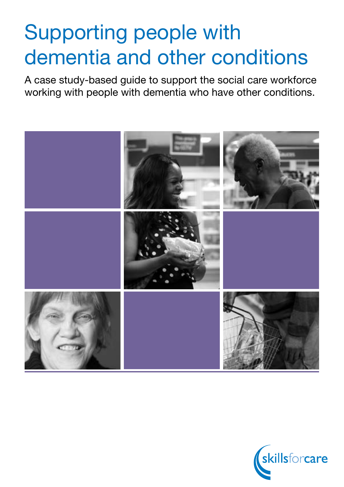# Supporting people with dementia and other conditions

A case study-based guide to support the social care workforce working with people with dementia who have other conditions.



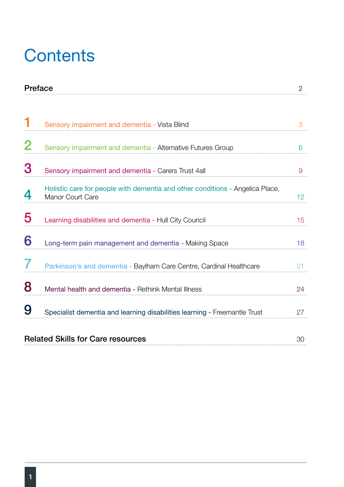# **Contents**

|          | Preface                                                                                           |                 |
|----------|---------------------------------------------------------------------------------------------------|-----------------|
| 1        |                                                                                                   |                 |
|          | Sensory impairment and dementia - Vista Blind                                                     | 3               |
| $\bf{2}$ | Sensory impairment and dementia - Alternative Futures Group                                       | 6               |
| 3        | Sensory impairment and dementia - Carers Trust 4all                                               | 9               |
| 4        | Holistic care for people with dementia and other conditions - Angelica Place,<br>Manor Court Care | 12 <sup>°</sup> |
| 5        | Learning disabilities and dementia - Hull City Council                                            | 15              |
| 6        | Long-term pain management and dementia - Making Space                                             | 18              |
|          | Parkinson's and dementia - Baylham Care Centre, Cardinal Healthcare                               | 21              |
| 8        | Mental health and dementia - Rethink Mental Illness                                               | 24              |
| 9        | Specialist dementia and learning disabilities learning - Freemantle Trust                         | 27              |
|          | <b>Related Skills for Care resources</b>                                                          | 30              |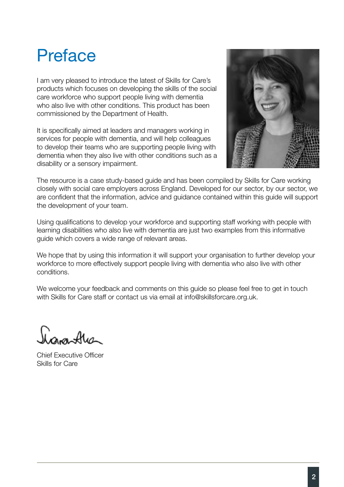# Preface

I am very pleased to introduce the latest of Skills for Care's products which focuses on developing the skills of the social care workforce who support people living with dementia who also live with other conditions. This product has been commissioned by the Department of Health.

It is specifically aimed at leaders and managers working in services for people with dementia, and will help colleagues to develop their teams who are supporting people living with dementia when they also live with other conditions such as a disability or a sensory impairment.



The resource is a case study-based guide and has been compiled by Skills for Care working closely with social care employers across England. Developed for our sector, by our sector, we are confident that the information, advice and guidance contained within this guide will support the development of your team.

Using qualifications to develop your workforce and supporting staff working with people with learning disabilities who also live with dementia are just two examples from this informative guide which covers a wide range of relevant areas.

We hope that by using this information it will support your organisation to further develop your workforce to more effectively support people living with dementia who also live with other conditions.

We welcome your feedback and comments on this guide so please feel free to get in touch with Skills for Care staff or contact us via email at info@skillsforcare.org.uk.

 $\sim$ 

Chief Executive Officer Skills for Care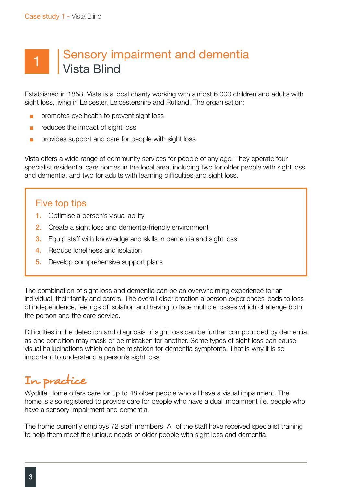## 1 | Sensory impairment and dementia Vista Blind

Established in 1858, Vista is a local charity working with almost 6,000 children and adults with sight loss, living in Leicester, Leicestershire and Rutland. The organisation:

- promotes eye health to prevent sight loss
- reduces the impact of sight loss
- provides support and care for people with sight loss

Vista offers a wide range of community services for people of any age. They operate four specialist residential care homes in the local area, including two for older people with sight loss and dementia, and two for adults with learning difficulties and sight loss.

#### Five top tips

- 1. Optimise a person's visual ability
- 2. Create a sight loss and dementia-friendly environment
- **3.** Equip staff with knowledge and skills in dementia and sight loss
- 4. Reduce loneliness and isolation
- **5.** Develop comprehensive support plans

The combination of sight loss and dementia can be an overwhelming experience for an individual, their family and carers. The overall disorientation a person experiences leads to loss of independence, feelings of isolation and having to face multiple losses which challenge both the person and the care service.

Difficulties in the detection and diagnosis of sight loss can be further compounded by dementia as one condition may mask or be mistaken for another. Some types of sight loss can cause visual hallucinations which can be mistaken for dementia symptoms. That is why it is so important to understand a person's sight loss.

### In practice

Wycliffe Home offers care for up to 48 older people who all have a visual impairment. The home is also registered to provide care for people who have a dual impairment i.e. people who have a sensory impairment and dementia.

The home currently employs 72 staff members. All of the staff have received specialist training to help them meet the unique needs of older people with sight loss and dementia.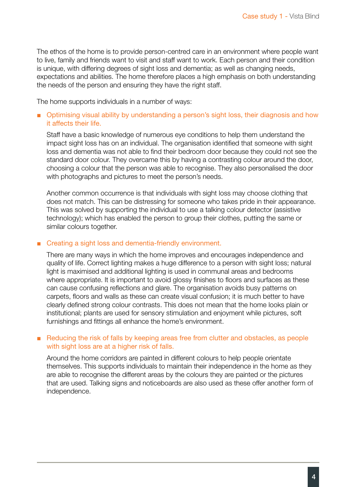The ethos of the home is to provide person-centred care in an environment where people want to live, family and friends want to visit and staff want to work. Each person and their condition is unique, with differing degrees of sight loss and dementia; as well as changing needs, expectations and abilities. The home therefore places a high emphasis on both understanding the needs of the person and ensuring they have the right staff.

The home supports individuals in a number of ways:

#### ■ Optimising visual ability by understanding a person's sight loss, their diagnosis and how it affects their life.

Staff have a basic knowledge of numerous eye conditions to help them understand the impact sight loss has on an individual. The organisation identified that someone with sight loss and dementia was not able to find their bedroom door because they could not see the standard door colour. They overcame this by having a contrasting colour around the door, choosing a colour that the person was able to recognise. They also personalised the door with photographs and pictures to meet the person's needs.

Another common occurrence is that individuals with sight loss may choose clothing that does not match. This can be distressing for someone who takes pride in their appearance. This was solved by supporting the individual to use a talking colour detector (assistive technology); which has enabled the person to group their clothes, putting the same or similar colours together.

#### ■ Creating a sight loss and dementia-friendly environment.

There are many ways in which the home improves and encourages independence and quality of life. Correct lighting makes a huge difference to a person with sight loss; natural light is maximised and additional lighting is used in communal areas and bedrooms where appropriate. It is important to avoid glossy finishes to floors and surfaces as these can cause confusing reflections and glare. The organisation avoids busy patterns on carpets, floors and walls as these can create visual confusion; it is much better to have clearly defined strong colour contrasts. This does not mean that the home looks plain or institutional; plants are used for sensory stimulation and enjoyment while pictures, soft furnishings and fittings all enhance the home's environment.

#### ■ Reducing the risk of falls by keeping areas free from clutter and obstacles, as people with sight loss are at a higher risk of falls.

Around the home corridors are painted in different colours to help people orientate themselves. This supports individuals to maintain their independence in the home as they are able to recognise the different areas by the colours they are painted or the pictures that are used. Talking signs and noticeboards are also used as these offer another form of independence.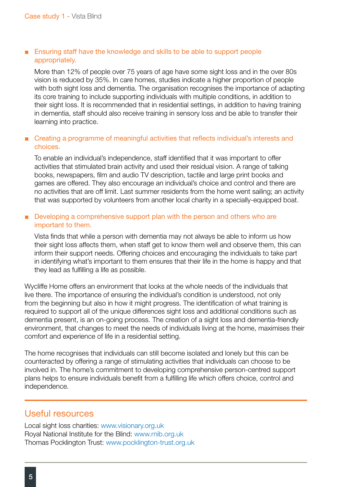#### ■ Ensuring staff have the knowledge and skills to be able to support people appropriately.

More than 12% of people over 75 years of age have some sight loss and in the over 80s vision is reduced by 35%. In care homes, studies indicate a higher proportion of people with both sight loss and dementia. The organisation recognises the importance of adapting its core training to include supporting individuals with multiple conditions, in addition to their sight loss. It is recommended that in residential settings, in addition to having training in dementia, staff should also receive training in sensory loss and be able to transfer their learning into practice.

#### ■ Creating a programme of meaningful activities that reflects individual's interests and choices.

To enable an individual's independence, staff identified that it was important to offer activities that stimulated brain activity and used their residual vision. A range of talking books, newspapers, film and audio TV description, tactile and large print books and games are offered. They also encourage an individual's choice and control and there are no activities that are off limit. Last summer residents from the home went sailing; an activity that was supported by volunteers from another local charity in a specially-equipped boat.

#### ■ Developing a comprehensive support plan with the person and others who are important to them.

Vista finds that while a person with dementia may not always be able to inform us how their sight loss affects them, when staff get to know them well and observe them, this can inform their support needs. Offering choices and encouraging the individuals to take part in identifying what's important to them ensures that their life in the home is happy and that they lead as fulfilling a life as possible.

Wycliffe Home offers an environment that looks at the whole needs of the individuals that live there. The importance of ensuring the individual's condition is understood, not only from the beginning but also in how it might progress. The identification of what training is required to support all of the unique differences sight loss and additional conditions such as dementia present, is an on-going process. The creation of a sight loss and dementia-friendly environment, that changes to meet the needs of individuals living at the home, maximises their comfort and experience of life in a residential setting.

The home recognises that individuals can still become isolated and lonely but this can be counteracted by offering a range of stimulating activities that individuals can choose to be involved in. The home's commitment to developing comprehensive person-centred support plans helps to ensure individuals benefit from a fulfilling life which offers choice, control and independence.

#### Useful resources

Local sight loss charities: [www.visionary.org.uk](http://www.visionary.org.uk) Royal National Institute for the Blind[: www.rnib.org.uk](http:// www.rnib.org.uk) Thomas Pocklington Trust: [www.pocklington-trust.org.uk](http://www.pocklington-trust.org.uk)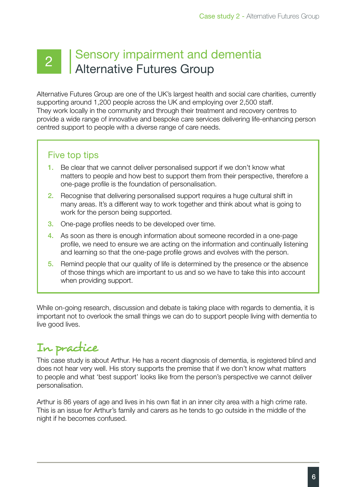### 2 | Sensory impairment and dementia Alternative Futures Group

Alternative Futures Group are one of the UK's largest health and social care charities, currently supporting around 1,200 people across the UK and employing over 2,500 staff. They work locally in the community and through their treatment and recovery centres to provide a wide range of innovative and bespoke care services delivering life-enhancing person centred support to people with a diverse range of care needs.

### Five top tips

- 1. Be clear that we cannot deliver personalised support if we don't know what matters to people and how best to support them from their perspective, therefore a one-page profile is the foundation of personalisation.
- 2. Recognise that delivering personalised support requires a huge cultural shift in many areas. It's a different way to work together and think about what is going to work for the person being supported.
- 3. One-page profiles needs to be developed over time.
- 4. As soon as there is enough information about someone recorded in a one-page profile, we need to ensure we are acting on the information and continually listening and learning so that the one-page profile grows and evolves with the person.
- 5. Remind people that our quality of life is determined by the presence or the absence of those things which are important to us and so we have to take this into account when providing support.

While on-going research, discussion and debate is taking place with regards to dementia, it is important not to overlook the small things we can do to support people living with dementia to live good lives.

### In practice

This case study is about Arthur. He has a recent diagnosis of dementia, is registered blind and does not hear very well. His story supports the premise that if we don't know what matters to people and what 'best support' looks like from the person's perspective we cannot deliver personalisation.

Arthur is 86 years of age and lives in his own flat in an inner city area with a high crime rate. This is an issue for Arthur's family and carers as he tends to go outside in the middle of the night if he becomes confused.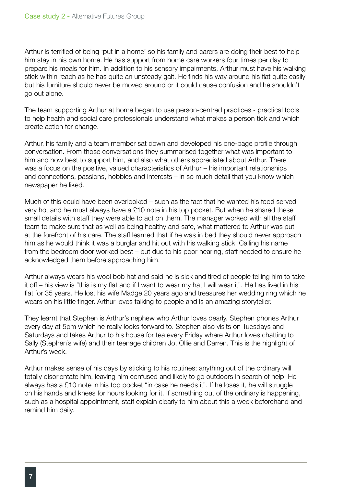Arthur is terrified of being 'put in a home' so his family and carers are doing their best to help him stay in his own home. He has support from home care workers four times per day to prepare his meals for him. In addition to his sensory impairments, Arthur must have his walking stick within reach as he has quite an unsteady gait. He finds his way around his flat quite easily but his furniture should never be moved around or it could cause confusion and he shouldn't go out alone.

The team supporting Arthur at home began to use person-centred practices - practical tools to help health and social care professionals understand what makes a person tick and which create action for change.

Arthur, his family and a team member sat down and developed his one-page profile through conversation. From those conversations they summarised together what was important to him and how best to support him, and also what others appreciated about Arthur. There was a focus on the positive, valued characteristics of Arthur – his important relationships and connections, passions, hobbies and interests – in so much detail that you know which newspaper he liked.

Much of this could have been overlooked – such as the fact that he wanted his food served very hot and he must always have a £10 note in his top pocket. But when he shared these small details with staff they were able to act on them. The manager worked with all the staff team to make sure that as well as being healthy and safe, what mattered to Arthur was put at the forefront of his care. The staff learned that if he was in bed they should never approach him as he would think it was a burglar and hit out with his walking stick. Calling his name from the bedroom door worked best – but due to his poor hearing, staff needed to ensure he acknowledged them before approaching him.

Arthur always wears his wool bob hat and said he is sick and tired of people telling him to take it off – his view is "this is my flat and if I want to wear my hat I will wear it". He has lived in his flat for 35 years. He lost his wife Madge 20 years ago and treasures her wedding ring which he wears on his little finger. Arthur loves talking to people and is an amazing storyteller.

They learnt that Stephen is Arthur's nephew who Arthur loves dearly. Stephen phones Arthur every day at 5pm which he really looks forward to. Stephen also visits on Tuesdays and Saturdays and takes Arthur to his house for tea every Friday where Arthur loves chatting to Sally (Stephen's wife) and their teenage children Jo, Ollie and Darren. This is the highlight of Arthur's week.

Arthur makes sense of his days by sticking to his routines; anything out of the ordinary will totally disorientate him, leaving him confused and likely to go outdoors in search of help. He always has a £10 note in his top pocket "in case he needs it". If he loses it, he will struggle on his hands and knees for hours looking for it. If something out of the ordinary is happening, such as a hospital appointment, staff explain clearly to him about this a week beforehand and remind him daily.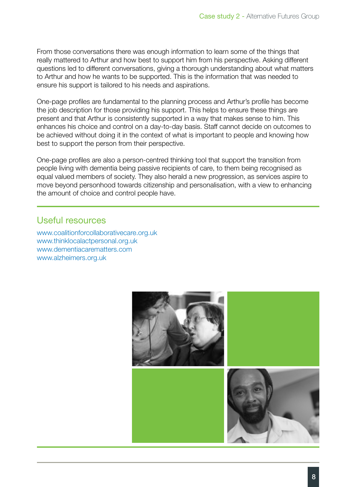From those conversations there was enough information to learn some of the things that really mattered to Arthur and how best to support him from his perspective. Asking different questions led to different conversations, giving a thorough understanding about what matters to Arthur and how he wants to be supported. This is the information that was needed to ensure his support is tailored to his needs and aspirations.

One-page profiles are fundamental to the planning process and Arthur's profile has become the job description for those providing his support. This helps to ensure these things are present and that Arthur is consistently supported in a way that makes sense to him. This enhances his choice and control on a day-to-day basis. Staff cannot decide on outcomes to be achieved without doing it in the context of what is important to people and knowing how best to support the person from their perspective.

One-page profiles are also a person-centred thinking tool that support the transition from people living with dementia being passive recipients of care, to them being recognised as equal valued members of society. They also herald a new progression, as services aspire to move beyond personhood towards citizenship and personalisation, with a view to enhancing the amount of choice and control people have.

#### Useful resources

[www.coalitionforcollaborativecare.org.uk](http://www.coalitionforcollaborativecare.org.uk) [www.thinklocalactpersonal.org.uk](http://www.thinklocalactpersonal.org.uk) [www.dementiacarematters.com](http://www.dementiacarematters.com)  [www.alzheimers.org.uk](http://www.alzheimers.org.uk/)

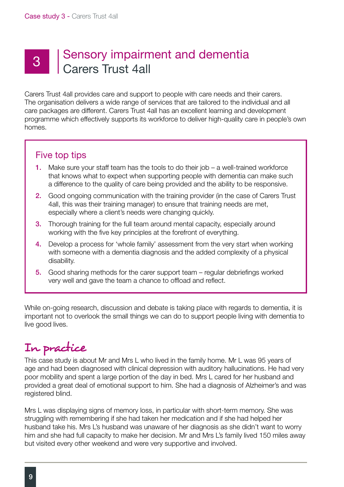## 3 Sensory impairment and dementia Carers Trust 4all

Carers Trust 4all provides care and support to people with care needs and their carers. The organisation delivers a wide range of services that are tailored to the individual and all care packages are different. Carers Trust 4all has an excellent learning and development programme which effectively supports its workforce to deliver high-quality care in people's own homes.

### Five top tips

- 1. Make sure your staff team has the tools to do their job a well-trained workforce that knows what to expect when supporting people with dementia can make such a difference to the quality of care being provided and the ability to be responsive.
- 2. Good ongoing communication with the training provider (in the case of Carers Trust 4all, this was their training manager) to ensure that training needs are met, especially where a client's needs were changing quickly.
- **3.** Thorough training for the full team around mental capacity, especially around working with the five key principles at the forefront of everything.
- 4. Develop a process for 'whole family' assessment from the very start when working with someone with a dementia diagnosis and the added complexity of a physical disability.
- 5. Good sharing methods for the carer support team regular debriefings worked very well and gave the team a chance to offload and reflect.

While on-going research, discussion and debate is taking place with regards to dementia, it is important not to overlook the small things we can do to support people living with dementia to live good lives.

### In practice

This case study is about Mr and Mrs L who lived in the family home. Mr L was 95 years of age and had been diagnosed with clinical depression with auditory hallucinations. He had very poor mobility and spent a large portion of the day in bed. Mrs L cared for her husband and provided a great deal of emotional support to him. She had a diagnosis of Alzheimer's and was registered blind.

Mrs L was displaying signs of memory loss, in particular with short-term memory. She was struggling with remembering if she had taken her medication and if she had helped her husband take his. Mrs L's husband was unaware of her diagnosis as she didn't want to worry him and she had full capacity to make her decision. Mr and Mrs L's family lived 150 miles away but visited every other weekend and were very supportive and involved.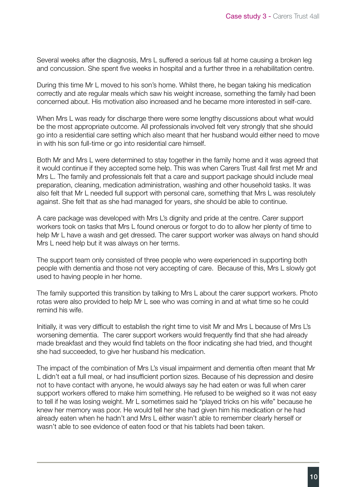Several weeks after the diagnosis, Mrs L suffered a serious fall at home causing a broken leg and concussion. She spent five weeks in hospital and a further three in a rehabilitation centre.

During this time Mr L moved to his son's home. Whilst there, he began taking his medication correctly and ate regular meals which saw his weight increase, something the family had been concerned about. His motivation also increased and he became more interested in self-care.

When Mrs L was ready for discharge there were some lengthy discussions about what would be the most appropriate outcome. All professionals involved felt very strongly that she should go into a residential care setting which also meant that her husband would either need to move in with his son full-time or go into residential care himself.

Both Mr and Mrs L were determined to stay together in the family home and it was agreed that it would continue if they accepted some help. This was when Carers Trust 4all first met Mr and Mrs L. The family and professionals felt that a care and support package should include meal preparation, cleaning, medication administration, washing and other household tasks. It was also felt that Mr L needed full support with personal care, something that Mrs L was resolutely against. She felt that as she had managed for years, she should be able to continue.

A care package was developed with Mrs L's dignity and pride at the centre. Carer support workers took on tasks that Mrs L found onerous or forgot to do to allow her plenty of time to help Mr L have a wash and get dressed. The carer support worker was always on hand should Mrs L need help but it was always on her terms.

The support team only consisted of three people who were experienced in supporting both people with dementia and those not very accepting of care. Because of this, Mrs L slowly got used to having people in her home.

The family supported this transition by talking to Mrs L about the carer support workers. Photo rotas were also provided to help Mr L see who was coming in and at what time so he could remind his wife.

Initially, it was very difficult to establish the right time to visit Mr and Mrs L because of Mrs L's worsening dementia. The carer support workers would frequently find that she had already made breakfast and they would find tablets on the floor indicating she had tried, and thought she had succeeded, to give her husband his medication.

The impact of the combination of Mrs L's visual impairment and dementia often meant that Mr L didn't eat a full meal, or had insufficient portion sizes. Because of his depression and desire not to have contact with anyone, he would always say he had eaten or was full when carer support workers offered to make him something. He refused to be weighed so it was not easy to tell if he was losing weight. Mr L sometimes said he "played tricks on his wife" because he knew her memory was poor. He would tell her she had given him his medication or he had already eaten when he hadn't and Mrs L either wasn't able to remember clearly herself or wasn't able to see evidence of eaten food or that his tablets had been taken.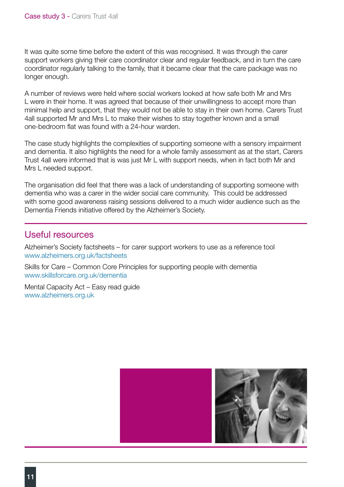It was quite some time before the extent of this was recognised. It was through the carer support workers giving their care coordinator clear and regular feedback, and in turn the care coordinator regularly talking to the family, that it became clear that the care package was no longer enough.

A number of reviews were held where social workers looked at how safe both Mr and Mrs L were in their home. It was agreed that because of their unwillingness to accept more than minimal help and support, that they would not be able to stay in their own home. Carers Trust 4all supported Mr and Mrs L to make their wishes to stay together known and a small one-bedroom flat was found with a 24-hour warden.

The case study highlights the complexities of supporting someone with a sensory impairment and dementia. It also highlights the need for a whole family assessment as at the start, Carers Trust 4all were informed that is was just Mr L with support needs, when in fact both Mr and Mrs L needed support.

The organisation did feel that there was a lack of understanding of supporting someone with dementia who was a carer in the wider social care community. This could be addressed with some good awareness raising sessions delivered to a much wider audience such as the Dementia Friends initiative offered by the Alzheimer's Society.

#### Useful resources

Alzheimer's Society factsheets – for carer support workers to use as a reference tool www.alzheimers.org.uk/factsheets

Skills for Care – Common Core Principles for supporting people with dementia www.skillsforcare.org.uk/dementia

Mental Capacity Act – Easy read guide [www.alzheimers.org.uk](http://www.alzheimers.org.uk/)

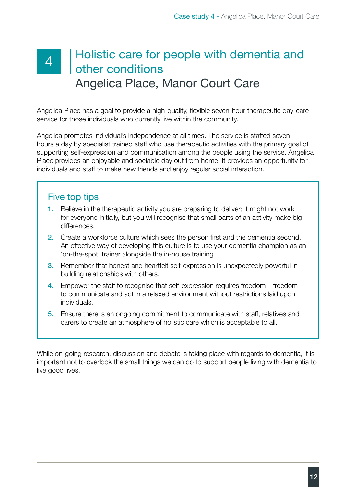### 4 Holistic care for people with dementia and<br>4 Abor conditions other conditions Angelica Place, Manor Court Care

Angelica Place has a goal to provide a high-quality, flexible seven-hour therapeutic day-care service for those individuals who currently live within the community.

Angelica promotes individual's independence at all times. The service is staffed seven hours a day by specialist trained staff who use therapeutic activities with the primary goal of supporting self-expression and communication among the people using the service. Angelica Place provides an enjoyable and sociable day out from home. It provides an opportunity for individuals and staff to make new friends and enjoy regular social interaction.

### Five top tips

- 1. Believe in the therapeutic activity you are preparing to deliver; it might not work for everyone initially, but you will recognise that small parts of an activity make big differences.
- 2. Create a workforce culture which sees the person first and the dementia second. An effective way of developing this culture is to use your dementia champion as an 'on-the-spot' trainer alongside the in-house training.
- 3. Remember that honest and heartfelt self-expression is unexpectedly powerful in building relationships with others.
- 4. Empower the staff to recognise that self-expression requires freedom freedom to communicate and act in a relaxed environment without restrictions laid upon individuals.
- 5. Ensure there is an ongoing commitment to communicate with staff, relatives and carers to create an atmosphere of holistic care which is acceptable to all.

While on-going research, discussion and debate is taking place with regards to dementia, it is important not to overlook the small things we can do to support people living with dementia to live good lives.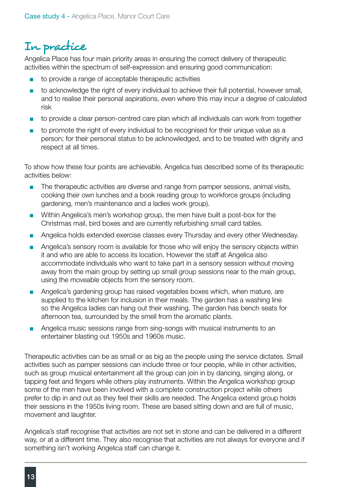### In practice

Angelica Place has four main priority areas in ensuring the correct delivery of therapeutic activities within the spectrum of self-expression and ensuring good communication:

- to provide a range of acceptable therapeutic activities
- to acknowledge the right of every individual to achieve their full potential, however small, and to realise their personal aspirations, even where this may incur a degree of calculated risk
- to provide a clear person-centred care plan which all individuals can work from together
- to promote the right of every individual to be recognised for their unique value as a person; for their personal status to be acknowledged, and to be treated with dignity and respect at all times.

To show how these four points are achievable, Angelica has described some of its therapeutic activities below:

- The therapeutic activities are diverse and range from pamper sessions, animal visits, cooking their own lunches and a book reading group to workforce groups (including gardening, men's maintenance and a ladies work group).
- Within Angelica's men's workshop group, the men have built a post-box for the Christmas mail, bird boxes and are currently refurbishing small card tables.
- Angelica holds extended exercise classes every Thursday and every other Wednesday.
- Angelica's sensory room is available for those who will enjoy the sensory objects within it and who are able to access its location. However the staff at Angelica also accommodate individuals who want to take part in a sensory session without moving away from the main group by setting up small group sessions near to the main group, using the moveable objects from the sensory room.
- Angelica's gardening group has raised vegetables boxes which, when mature, are supplied to the kitchen for inclusion in their meals. The garden has a washing line so the Angelica ladies can hang out their washing. The garden has bench seats for afternoon tea, surrounded by the smell from the aromatic plants.
- Angelica music sessions range from sing-songs with musical instruments to an entertainer blasting out 1950s and 1960s music.

Therapeutic activities can be as small or as big as the people using the service dictates. Small activities such as pamper sessions can include three or four people, while in other activities, such as group musical entertainment all the group can join in by dancing, singing along, or tapping feet and fingers while others play instruments. Within the Angelica workshop group some of the men have been involved with a complete construction project while others prefer to dip in and out as they feel their skills are needed. The Angelica extend group holds their sessions in the 1950s living room. These are based sitting down and are full of music, movement and laughter.

Angelica's staff recognise that activities are not set in stone and can be delivered in a different way, or at a different time. They also recognise that activities are not always for everyone and if something isn't working Angelica staff can change it.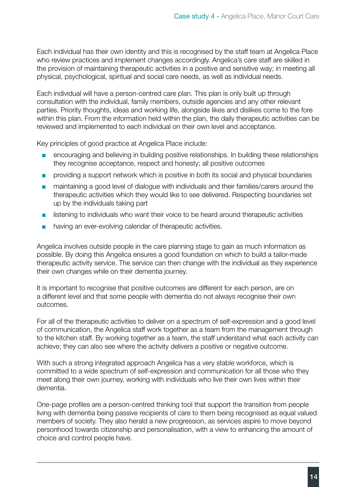Each individual has their own identity and this is recognised by the staff team at Angelica Place who review practices and implement changes accordingly. Angelica's care staff are skilled in the provision of maintaining therapeutic activities in a positive and sensitive way; in meeting all physical, psychological, spiritual and social care needs, as well as individual needs.

Each individual will have a person-centred care plan. This plan is only built up through consultation with the individual, family members, outside agencies and any other relevant parties. Priority thoughts, ideas and working life, alongside likes and dislikes come to the fore within this plan. From the information held within the plan, the daily therapeutic activities can be reviewed and implemented to each individual on their own level and acceptance.

Key principles of good practice at Angelica Place include:

- encouraging and believing in building positive relationships. In building these relationships they recognise acceptance, respect and honesty; all positive outcomes
- providing a support network which is positive in both its social and physical boundaries
- maintaining a good level of dialogue with individuals and their families/carers around the therapeutic activities which they would like to see delivered. Respecting boundaries set up by the individuals taking part
- listening to individuals who want their voice to be heard around therapeutic activities
- having an ever-evolving calendar of therapeutic activities.

Angelica involves outside people in the care planning stage to gain as much information as possible. By doing this Angelica ensures a good foundation on which to build a tailor-made therapeutic activity service. The service can then change with the individual as they experience their own changes while on their dementia journey.

It is important to recognise that positive outcomes are different for each person, are on a different level and that some people with dementia do not always recognise their own outcomes.

For all of the therapeutic activities to deliver on a spectrum of self-expression and a good level of communication, the Angelica staff work together as a team from the management through to the kitchen staff. By working together as a team, the staff understand what each activity can achieve; they can also see where the activity delivers a positive or negative outcome.

With such a strong integrated approach Angelica has a very stable workforce, which is committed to a wide spectrum of self-expression and communication for all those who they meet along their own journey, working with individuals who live their own lives within their dementia.

One-page profiles are a person-centred thinking tool that support the transition from people living with dementia being passive recipients of care to them being recognised as equal valued members of society. They also herald a new progression, as services aspire to move beyond personhood towards citizenship and personalisation, with a view to enhancing the amount of choice and control people have.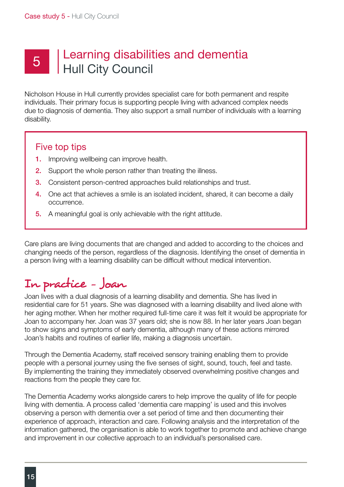## 5 | Learning disabilities and dementia Hull City Council

Nicholson House in Hull currently provides specialist care for both permanent and respite individuals. Their primary focus is supporting people living with advanced complex needs due to diagnosis of dementia. They also support a small number of individuals with a learning disability.

#### Five top tips

- **1.** Improving wellbeing can improve health.
- **2.** Support the whole person rather than treating the illness.
- 3. Consistent person-centred approaches build relationships and trust.
- 4. One act that achieves a smile is an isolated incident, shared, it can become a daily occurrence.
- 5. A meaningful goal is only achievable with the right attitude.

Care plans are living documents that are changed and added to according to the choices and changing needs of the person, regardless of the diagnosis. Identifying the onset of dementia in a person living with a learning disability can be difficult without medical intervention.

# In practice - Joan

Joan lives with a dual diagnosis of a learning disability and dementia. She has lived in residential care for 51 years. She was diagnosed with a learning disability and lived alone with her aging mother. When her mother required full-time care it was felt it would be appropriate for Joan to accompany her. Joan was 37 years old; she is now 88. In her later years Joan began to show signs and symptoms of early dementia, although many of these actions mirrored Joan's habits and routines of earlier life, making a diagnosis uncertain.

Through the Dementia Academy, staff received sensory training enabling them to provide people with a personal journey using the five senses of sight, sound, touch, feel and taste. By implementing the training they immediately observed overwhelming positive changes and reactions from the people they care for.

The Dementia Academy works alongside carers to help improve the quality of life for people living with dementia. A process called 'dementia care mapping' is used and this involves observing a person with dementia over a set period of time and then documenting their experience of approach, interaction and care. Following analysis and the interpretation of the information gathered, the organisation is able to work together to promote and achieve change and improvement in our collective approach to an individual's personalised care.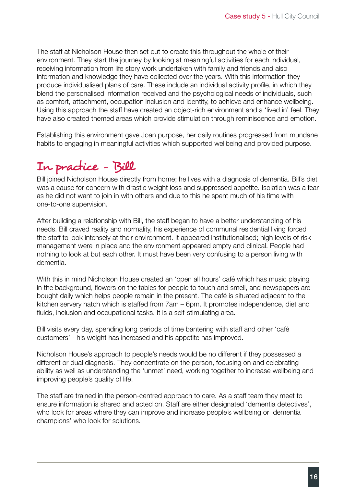The staff at Nicholson House then set out to create this throughout the whole of their environment. They start the journey by looking at meaningful activities for each individual, receiving information from life story work undertaken with family and friends and also information and knowledge they have collected over the years. With this information they produce individualised plans of care. These include an individual activity profile, in which they blend the personalised information received and the psychological needs of individuals, such as comfort, attachment, occupation inclusion and identity, to achieve and enhance wellbeing. Using this approach the staff have created an object-rich environment and a 'lived in' feel. They have also created themed areas which provide stimulation through reminiscence and emotion.

Establishing this environment gave Joan purpose, her daily routines progressed from mundane habits to engaging in meaningful activities which supported wellbeing and provided purpose.

### In practice - Bill

Bill joined Nicholson House directly from home; he lives with a diagnosis of dementia. Bill's diet was a cause for concern with drastic weight loss and suppressed appetite. Isolation was a fear as he did not want to join in with others and due to this he spent much of his time with one-to-one supervision.

After building a relationship with Bill, the staff began to have a better understanding of his needs. Bill craved reality and normality, his experience of communal residential living forced the staff to look intensely at their environment. It appeared institutionalised; high levels of risk management were in place and the environment appeared empty and clinical. People had nothing to look at but each other. It must have been very confusing to a person living with dementia.

With this in mind Nicholson House created an 'open all hours' café which has music playing in the background, flowers on the tables for people to touch and smell, and newspapers are bought daily which helps people remain in the present. The café is situated adjacent to the kitchen servery hatch which is staffed from 7am – 6pm. It promotes independence, diet and fluids, inclusion and occupational tasks. It is a self-stimulating area.

Bill visits every day, spending long periods of time bantering with staff and other 'café customers' - his weight has increased and his appetite has improved.

Nicholson House's approach to people's needs would be no different if they possessed a different or dual diagnosis. They concentrate on the person, focusing on and celebrating ability as well as understanding the 'unmet' need, working together to increase wellbeing and improving people's quality of life.

The staff are trained in the person-centred approach to care. As a staff team they meet to ensure information is shared and acted on. Staff are either designated 'dementia detectives', who look for areas where they can improve and increase people's wellbeing or 'dementia champions' who look for solutions.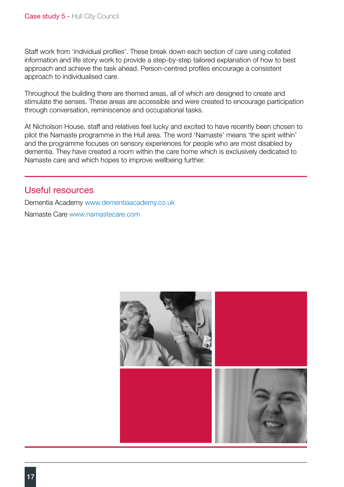Staff work from 'individual profiles'. These break down each section of care using collated information and life story work to provide a step-by-step tailored explanation of how to best approach and achieve the task ahead. Person-centred profiles encourage a consistent approach to individualised care.

Throughout the building there are themed areas, all of which are designed to create and stimulate the senses. These areas are accessible and were created to encourage participation through conversation, reminiscence and occupational tasks.

At Nicholson House, staff and relatives feel lucky and excited to have recently been chosen to pilot the Namaste programme in the Hull area. The word 'Namaste' means 'the spirit within' and the programme focuses on sensory experiences for people who are most disabled by dementia. They have created a room within the care home which is exclusively dedicated to Namaste care and which hopes to improve wellbeing further.

#### Useful resources

Dementia Academy [www.dementiaacademy.co.uk](http://www.dementiaacademy.co.uk) Namaste Care [www.namastecare.com](http://www.namastecare.com)

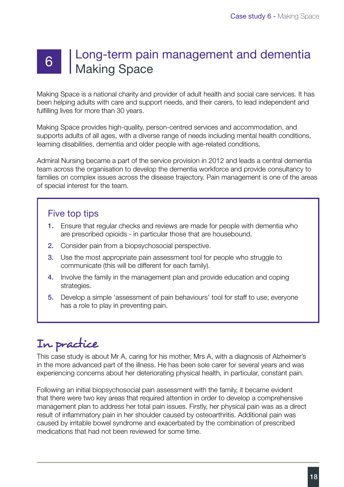# Long-term pain management and dementia 6 | Long-tone<br>Making Space

Making Space is a national charity and provider of adult health and social care services. It has been helping adults with care and support needs, and their carers, to lead independent and fulfilling lives for more than 30 years.

Making Space provides high-quality, person-centred services and accommodation, and supports adults of all ages, with a diverse range of needs including mental health conditions, learning disabilities, dementia and older people with age-related conditions.

Admiral Nursing became a part of the service provision in 2012 and leads a central dementia team across the organisation to develop the dementia workforce and provide consultancy to families on complex issues across the disease trajectory. Pain management is one of the areas of special interest for the team.

### Five top tips

- 1. Ensure that regular checks and reviews are made for people with dementia who are prescribed opioids - in particular those that are housebound.
- 2. Consider pain from a biopsychosocial perspective.
- **3.** Use the most appropriate pain assessment tool for people who struggle to communicate (this will be different for each family).
- 4. Involve the family in the management plan and provide education and coping strategies.
- 5. Develop a simple 'assessment of pain behaviours' tool for staff to use; everyone has a role to play in preventing pain.

# In practice

This case study is about Mr A, caring for his mother, Mrs A, with a diagnosis of Alzheimer's in the more advanced part of the illness. He has been sole carer for several years and was experiencing concerns about her deteriorating physical health, in particular, constant pain.

Following an initial biopsychosocial pain assessment with the family, it became evident that there were two key areas that required attention in order to develop a comprehensive management plan to address her total pain issues. Firstly, her physical pain was as a direct result of inflammatory pain in her shoulder caused by osteoarthritis. Additional pain was caused by irritable bowel syndrome and exacerbated by the combination of prescribed medications that had not been reviewed for some time.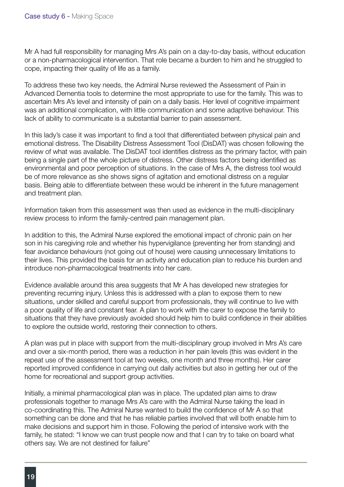Mr A had full responsibility for managing Mrs A's pain on a day-to-day basis, without education or a non-pharmacological intervention. That role became a burden to him and he struggled to cope, impacting their quality of life as a family.

To address these two key needs, the Admiral Nurse reviewed the Assessment of Pain in Advanced Dementia tools to determine the most appropriate to use for the family. This was to ascertain Mrs A's level and intensity of pain on a daily basis. Her level of cognitive impairment was an additional complication, with little communication and some adaptive behaviour. This lack of ability to communicate is a substantial barrier to pain assessment.

In this lady's case it was important to find a tool that differentiated between physical pain and emotional distress. The Disability Distress Assessment Tool (DisDAT) was chosen following the review of what was available. The DisDAT tool identifies distress as the primary factor, with pain being a single part of the whole picture of distress. Other distress factors being identified as environmental and poor perception of situations. In the case of Mrs A, the distress tool would be of more relevance as she shows signs of agitation and emotional distress on a regular basis. Being able to differentiate between these would be inherent in the future management and treatment plan.

Information taken from this assessment was then used as evidence in the multi-disciplinary review process to inform the family-centred pain management plan.

In addition to this, the Admiral Nurse explored the emotional impact of chronic pain on her son in his caregiving role and whether his hypervigilance (preventing her from standing) and fear avoidance behaviours (not going out of house) were causing unnecessary limitations to their lives. This provided the basis for an activity and education plan to reduce his burden and introduce non-pharmacological treatments into her care.

Evidence available around this area suggests that Mr A has developed new strategies for preventing recurring injury. Unless this is addressed with a plan to expose them to new situations, under skilled and careful support from professionals, they will continue to live with a poor quality of life and constant fear. A plan to work with the carer to expose the family to situations that they have previously avoided should help him to build confidence in their abilities to explore the outside world, restoring their connection to others.

A plan was put in place with support from the multi-disciplinary group involved in Mrs A's care and over a six-month period, there was a reduction in her pain levels (this was evident in the repeat use of the assessment tool at two weeks, one month and three months). Her carer reported improved confidence in carrying out daily activities but also in getting her out of the home for recreational and support group activities.

Initially, a minimal pharmacological plan was in place. The updated plan aims to draw professionals together to manage Mrs A's care with the Admiral Nurse taking the lead in co-coordinating this. The Admiral Nurse wanted to build the confidence of Mr A so that something can be done and that he has reliable parties involved that will both enable him to make decisions and support him in those. Following the period of intensive work with the family, he stated: "I know we can trust people now and that I can try to take on board what others say. We are not destined for failure"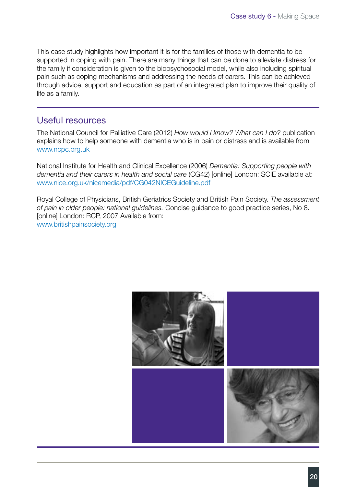This case study highlights how important it is for the families of those with dementia to be supported in coping with pain. There are many things that can be done to alleviate distress for the family if consideration is given to the biopsychosocial model, while also including spiritual pain such as coping mechanisms and addressing the needs of carers. This can be achieved through advice, support and education as part of an integrated plan to improve their quality of life as a family.

#### Useful resources

The National Council for Palliative Care (2012) *How would I know? What can I do?* publication explains how to help someone with dementia who is in pain or distress and is available from www.ncpc.org.uk

National Institute for Health and Clinical Excellence (2006) *Dementia: Supporting people with dementia and their carers in health and social care* (CG42) [online] London: SCIE available at: www.nice.org.uk/nicemedia/pdf/CG042NICEGuideline.pdf

Royal College of Physicians, British Geriatrics Society and British Pain Society. *The assessment of pain in older people: national guidelines.* Concise guidance to good practice series, No 8. [online] London: RCP, 2007 Available from: www.britishpainsociety.org

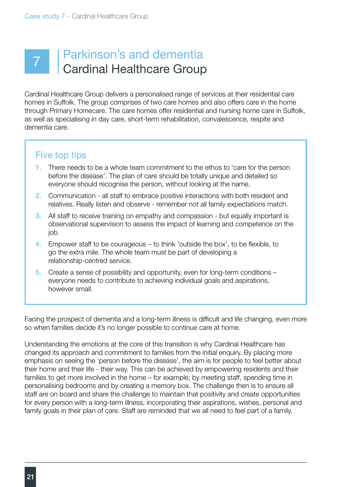## Parkinson's and dementia Cardinal Healthcare Group

Cardinal Healthcare Group delivers a personalised range of services at their residential care homes in Suffolk. The group comprises of two care homes and also offers care in the home through Primary Homecare. The care homes offer residential and nursing home care in Suffolk, as well as specialising in day care, short-term rehabilitation, convalescence, respite and dementia care.

### Five top tips

- 1. There needs to be a whole team commitment to the ethos to 'care for the person before the disease'. The plan of care should be totally unique and detailed so everyone should recognise the person, without looking at the name.
- 2. Communication all staff to embrace positive interactions with both resident and relatives. Really listen and observe - remember not all family expectations match.
- 3. All staff to receive training on empathy and compassion but equally important is observational supervision to assess the impact of learning and competence on the job.
- 4. Empower staff to be courageous to think 'outside the box', to be flexible, to go the extra mile. The whole team must be part of developing a relationship-centred service.
- 5. Create a sense of possibility and opportunity, even for long-term conditions everyone needs to contribute to achieving individual goals and aspirations, however small.

Facing the prospect of dementia and a long-term illness is difficult and life changing, even more so when families decide it's no longer possible to continue care at home.

Understanding the emotions at the core of this transition is why Cardinal Healthcare has changed its approach and commitment to families from the initial enquiry. By placing more emphasis on seeing the 'person before the disease', the aim is for people to feel better about their home and their life - their way. This can be achieved by empowering residents and their families to get more involved in the home – for example; by meeting staff, spending time in personalising bedrooms and by creating a memory box. The challenge then is to ensure all staff are on board and share the challenge to maintain that positivity and create opportunities for every person with a long-term illness, incorporating their aspirations, wishes, personal and family goals in their plan of care. Staff are reminded that we all need to feel part of a family.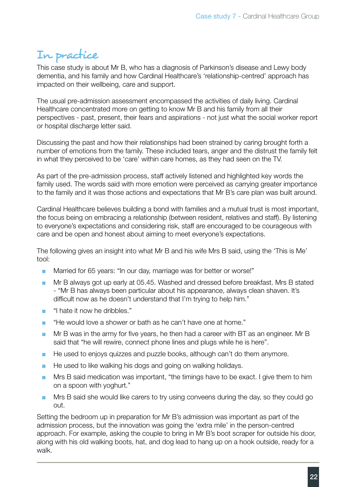### In practice

This case study is about Mr B, who has a diagnosis of Parkinson's disease and Lewy body dementia, and his family and how Cardinal Healthcare's 'relationship-centred' approach has impacted on their wellbeing, care and support.

The usual pre-admission assessment encompassed the activities of daily living. Cardinal Healthcare concentrated more on getting to know Mr B and his family from all their perspectives - past, present, their fears and aspirations - not just what the social worker report or hospital discharge letter said.

Discussing the past and how their relationships had been strained by caring brought forth a number of emotions from the family. These included tears, anger and the distrust the family felt in what they perceived to be 'care' within care homes, as they had seen on the TV.

As part of the pre-admission process, staff actively listened and highlighted key words the family used. The words said with more emotion were perceived as carrying greater importance to the family and it was those actions and expectations that Mr B's care plan was built around.

Cardinal Healthcare believes building a bond with families and a mutual trust is most important, the focus being on embracing a relationship (between resident, relatives and staff). By listening to everyone's expectations and considering risk, staff are encouraged to be courageous with care and be open and honest about aiming to meet everyone's expectations.

The following gives an insight into what Mr B and his wife Mrs B said, using the 'This is Me' tool:

- Married for 65 years: "In our day, marriage was for better or worse!"
- Mr B always got up early at 05.45. Washed and dressed before breakfast. Mrs B stated - "Mr B has always been particular about his appearance, always clean shaven. It's difficult now as he doesn't understand that I'm trying to help him."
- "I hate it now he dribbles."
- "He would love a shower or bath as he can't have one at home."
- Mr B was in the army for five years, he then had a career with BT as an engineer. Mr B said that "he will rewire, connect phone lines and plugs while he is here".
- He used to enjoys quizzes and puzzle books, although can't do them anymore.
- He used to like walking his dogs and going on walking holidays.
- Mrs B said medication was important, "the timings have to be exact. I give them to him on a spoon with yoghurt."
- Mrs B said she would like carers to try using conveens during the day, so they could go out.

Setting the bedroom up in preparation for Mr B's admission was important as part of the admission process, but the innovation was going the 'extra mile' in the person-centred approach. For example, asking the couple to bring in Mr B's boot scraper for outside his door, along with his old walking boots, hat, and dog lead to hang up on a hook outside, ready for a walk.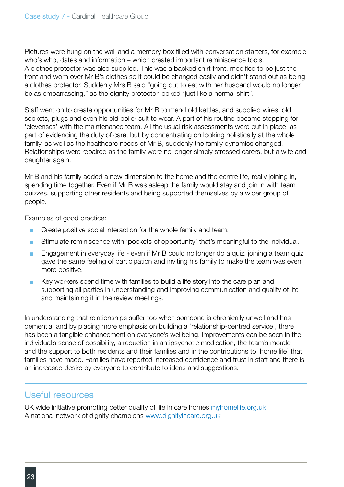Pictures were hung on the wall and a memory box filled with conversation starters, for example who's who, dates and information – which created important reminiscence tools. A clothes protector was also supplied. This was a backed shirt front, modified to be just the front and worn over Mr B's clothes so it could be changed easily and didn't stand out as being a clothes protector. Suddenly Mrs B said "going out to eat with her husband would no longer be as embarrassing," as the dignity protector looked "just like a normal shirt".

Staff went on to create opportunities for Mr B to mend old kettles, and supplied wires, old sockets, plugs and even his old boiler suit to wear. A part of his routine became stopping for 'elevenses' with the maintenance team. All the usual risk assessments were put in place, as part of evidencing the duty of care, but by concentrating on looking holistically at the whole family, as well as the healthcare needs of Mr B, suddenly the family dynamics changed. Relationships were repaired as the family were no longer simply stressed carers, but a wife and daughter again.

Mr B and his family added a new dimension to the home and the centre life, really joining in, spending time together. Even if Mr B was asleep the family would stay and join in with team quizzes, supporting other residents and being supported themselves by a wider group of people.

Examples of good practice:

- Create positive social interaction for the whole family and team.
- Stimulate reminiscence with 'pockets of opportunity' that's meaningful to the individual.
- Engagement in everyday life even if Mr B could no longer do a quiz, joining a team quiz gave the same feeling of participation and inviting his family to make the team was even more positive.
- Key workers spend time with families to build a life story into the care plan and supporting all parties in understanding and improving communication and quality of life and maintaining it in the review meetings.

In understanding that relationships suffer too when someone is chronically unwell and has dementia, and by placing more emphasis on building a 'relationship-centred service', there has been a tangible enhancement on everyone's wellbeing. Improvements can be seen in the individual's sense of possibility, a reduction in antipsychotic medication, the team's morale and the support to both residents and their families and in the contributions to 'home life' that families have made. Families have reported increased confidence and trust in staff and there is an increased desire by everyone to contribute to ideas and suggestions.

#### Useful resources

UK wide initiative promoting better quality of life in care homes myhomelife.org.uk A national network of dignity champions www.dignityincare.org.uk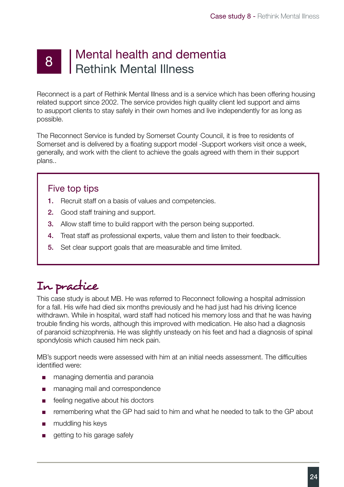### 8 | Mental health and dementia Rethink Mental Illness

Reconnect is a part of Rethink Mental Illness and is a service which has been offering housing related support since 2002. The service provides high quality client led support and aims to asupport clients to stay safely in their own homes and live independently for as long as possible.

The Reconnect Service is funded by Somerset County Council, it is free to residents of Somerset and is delivered by a floating support model -Support workers visit once a week, generally, and work with the client to achieve the goals agreed with them in their support plans..

### Five top tips

- 1. Recruit staff on a basis of values and competencies.
- 2. Good staff training and support.
- **3.** Allow staff time to build rapport with the person being supported.
- 4. Treat staff as professional experts, value them and listen to their feedback.
- 5. Set clear support goals that are measurable and time limited.

## In practice

This case study is about MB. He was referred to Reconnect following a hospital admission for a fall. His wife had died six months previously and he had just had his driving licence withdrawn. While in hospital, ward staff had noticed his memory loss and that he was having trouble finding his words, although this improved with medication. He also had a diagnosis of paranoid schizophrenia. He was slightly unsteady on his feet and had a diagnosis of spinal spondylosis which caused him neck pain.

MB's support needs were assessed with him at an initial needs assessment. The difficulties identified were:

- managing dementia and paranoia
- managing mail and correspondence
- feeling negative about his doctors
- remembering what the GP had said to him and what he needed to talk to the GP about
- muddling his keys
- getting to his garage safely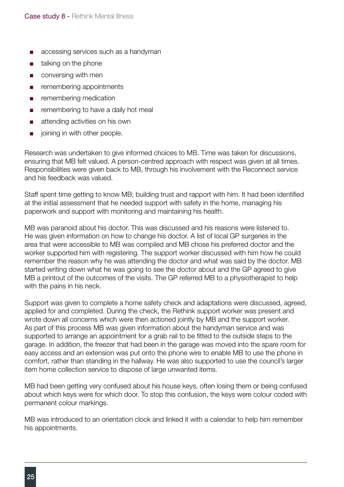- accessing services such as a handyman
- talking on the phone
- conversing with men
- remembering appointments
- remembering medication
- remembering to have a daily hot meal
- attending activities on his own
- joining in with other people.

Research was undertaken to give informed choices to MB. Time was taken for discussions, ensuring that MB felt valued. A person-centred approach with respect was given at all times. Responsibilities were given back to MB, through his involvement with the Reconnect service and his feedback was valued.

Staff spent time getting to know MB; building trust and rapport with him. It had been identified at the initial assessment that he needed support with safety in the home, managing his paperwork and support with monitoring and maintaining his health.

MB was paranoid about his doctor. This was discussed and his reasons were listened to. He was given information on how to change his doctor. A list of local GP surgeries in the area that were accessible to MB was compiled and MB chose his preferred doctor and the worker supported him with registering. The support worker discussed with him how he could remember the reason why he was attending the doctor and what was said by the doctor. MB started writing down what he was going to see the doctor about and the GP agreed to give MB a printout of the outcomes of the visits. The GP referred MB to a physiotherapist to help with the pains in his neck.

Support was given to complete a home safety check and adaptations were discussed, agreed, applied for and completed. During the check, the Rethink support worker was present and wrote down all concerns which were then actioned jointly by MB and the support worker. As part of this process MB was given information about the handyman service and was supported to arrange an appointment for a grab rail to be fitted to the outside steps to the garage. In addition, the freezer that had been in the garage was moved into the spare room for easy access and an extension was put onto the phone wire to enable MB to use the phone in comfort, rather than standing in the hallway. He was also supported to use the council's larger item home collection service to dispose of large unwanted items.

MB had been getting very confused about his house keys, often losing them or being confused about which keys were for which door. To stop this confusion, the keys were colour coded with permanent colour markings.

MB was introduced to an orientation clock and linked it with a calendar to help him remember his appointments.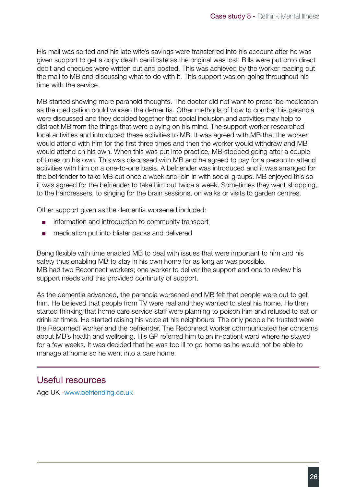His mail was sorted and his late wife's savings were transferred into his account after he was given support to get a copy death certificate as the original was lost. Bills were put onto direct debit and cheques were written out and posted. This was achieved by the worker reading out the mail to MB and discussing what to do with it. This support was on-going throughout his time with the service.

MB started showing more paranoid thoughts. The doctor did not want to prescribe medication as the medication could worsen the dementia. Other methods of how to combat his paranoia were discussed and they decided together that social inclusion and activities may help to distract MB from the things that were playing on his mind. The support worker researched local activities and introduced these activities to MB. It was agreed with MB that the worker would attend with him for the first three times and then the worker would withdraw and MB would attend on his own. When this was put into practice, MB stopped going after a couple of times on his own. This was discussed with MB and he agreed to pay for a person to attend activities with him on a one-to-one basis. A befriender was introduced and it was arranged for the befriender to take MB out once a week and join in with social groups. MB enjoyed this so it was agreed for the befriender to take him out twice a week. Sometimes they went shopping, to the hairdressers, to singing for the brain sessions, on walks or visits to garden centres.

Other support given as the dementia worsened included:

- information and introduction to community transport
- medication put into blister packs and delivered

Being flexible with time enabled MB to deal with issues that were important to him and his safety thus enabling MB to stay in his own home for as long as was possible. MB had two Reconnect workers; one worker to deliver the support and one to review his support needs and this provided continuity of support.

As the dementia advanced, the paranoia worsened and MB felt that people were out to get him. He believed that people from TV were real and they wanted to steal his home. He then started thinking that home care service staff were planning to poison him and refused to eat or drink at times. He started raising his voice at his neighbours. The only people he trusted were the Reconnect worker and the befriender. The Reconnect worker communicated her concerns about MB's health and wellbeing. His GP referred him to an in-patient ward where he stayed for a few weeks. It was decided that he was too ill to go home as he would not be able to manage at home so he went into a care home.

#### Useful resources

Age UK -www.befriending.co.uk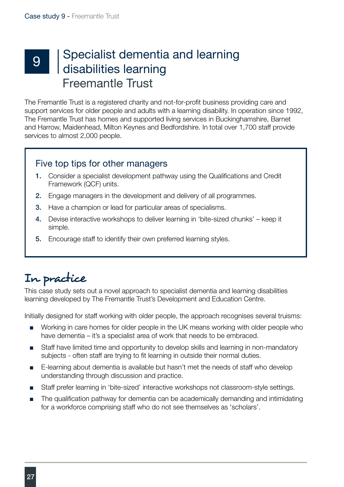## 9 Specialist dementia and learning<br>9 disabilities learning disabilities learning Freemantle Trust

The Fremantle Trust is a registered charity and not-for-profit business providing care and support services for older people and adults with a learning disability. In operation since 1992, The Fremantle Trust has homes and supported living services in Buckinghamshire, Barnet and Harrow, Maidenhead, Milton Keynes and Bedfordshire. In total over 1,700 staff provide services to almost 2,000 people.

### Five top tips for other managers

- 1. Consider a specialist development pathway using the Qualifications and Credit Framework (QCF) units.
- 2. Engage managers in the development and delivery of all programmes.
- 3. Have a champion or lead for particular areas of specialisms.
- 4. Devise interactive workshops to deliver learning in 'bite-sized chunks' keep it simple.
- 5. Encourage staff to identify their own preferred learning styles.

### In practice

This case study sets out a novel approach to specialist dementia and learning disabilities learning developed by The Fremantle Trust's Development and Education Centre.

Initially designed for staff working with older people, the approach recognises several truisms:

- Working in care homes for older people in the UK means working with older people who have dementia – it's a specialist area of work that needs to be embraced.
- Staff have limited time and opportunity to develop skills and learning in non-mandatory subjects - often staff are trying to fit learning in outside their normal duties.
- E-learning about dementia is available but hasn't met the needs of staff who develop understanding through discussion and practice.
- Staff prefer learning in 'bite-sized' interactive workshops not classroom-style settings.
- The qualification pathway for dementia can be academically demanding and intimidating for a workforce comprising staff who do not see themselves as 'scholars'.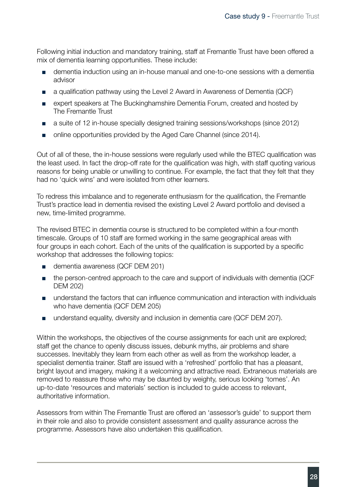Following initial induction and mandatory training, staff at Fremantle Trust have been offered a mix of dementia learning opportunities. These include:

- dementia induction using an in-house manual and one-to-one sessions with a dementia advisor
- a qualification pathway using the Level 2 Award in Awareness of Dementia (QCF)
- expert speakers at The Buckinghamshire Dementia Forum, created and hosted by The Fremantle Trust
- a suite of 12 in-house specially designed training sessions/workshops (since 2012)
- online opportunities provided by the Aged Care Channel (since 2014).

Out of all of these, the in-house sessions were regularly used while the BTEC qualification was the least used. In fact the drop-off rate for the qualification was high, with staff quoting various reasons for being unable or unwilling to continue. For example, the fact that they felt that they had no 'quick wins' and were isolated from other learners.

To redress this imbalance and to regenerate enthusiasm for the qualification, the Fremantle Trust's practice lead in dementia revised the existing Level 2 Award portfolio and devised a new, time-limited programme.

The revised BTEC in dementia course is structured to be completed within a four-month timescale. Groups of 10 staff are formed working in the same geographical areas with four groups in each cohort. Each of the units of the qualification is supported by a specific workshop that addresses the following topics:

- dementia awareness (QCF DEM 201)
- the person-centred approach to the care and support of individuals with dementia (QCF DEM 202)
- understand the factors that can influence communication and interaction with individuals who have dementia (QCF DEM 205)
- understand equality, diversity and inclusion in dementia care (QCF DEM 207).

Within the workshops, the objectives of the course assignments for each unit are explored; staff get the chance to openly discuss issues, debunk myths, air problems and share successes. Inevitably they learn from each other as well as from the workshop leader, a specialist dementia trainer. Staff are issued with a 'refreshed' portfolio that has a pleasant, bright layout and imagery, making it a welcoming and attractive read. Extraneous materials are removed to reassure those who may be daunted by weighty, serious looking 'tomes'. An up-to-date 'resources and materials' section is included to guide access to relevant, authoritative information.

Assessors from within The Fremantle Trust are offered an 'assessor's guide' to support them in their role and also to provide consistent assessment and quality assurance across the programme. Assessors have also undertaken this qualification.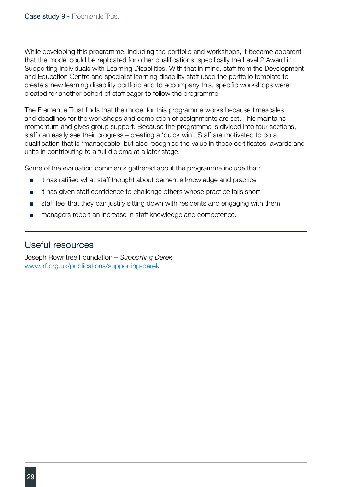While developing this programme, including the portfolio and workshops, it became apparent that the model could be replicated for other qualifications, specifically the Level 2 Award in Supporting Individuals with Learning Disabilities. With that in mind, staff from the Development and Education Centre and specialist learning disability staff used the portfolio template to create a new learning disability portfolio and to accompany this, specific workshops were created for another cohort of staff eager to follow the programme.

The Fremantle Trust finds that the model for this programme works because timescales and deadlines for the workshops and completion of assignments are set. This maintains momentum and gives group support. Because the programme is divided into four sections, staff can easily see their progress – creating a 'quick win'. Staff are motivated to do a qualification that is 'manageable' but also recognise the value in these certificates, awards and units in contributing to a full diploma at a later stage.

Some of the evaluation comments gathered about the programme include that:

- it has ratified what staff thought about dementia knowledge and practice
- it has given staff confidence to challenge others whose practice falls short
- staff feel that they can justify sitting down with residents and engaging with them
- managers report an increase in staff knowledge and competence.

#### Useful resources

Joseph Rowntree Foundation – *Supporting Derek* www.jrf.org.uk/publications/supporting-derek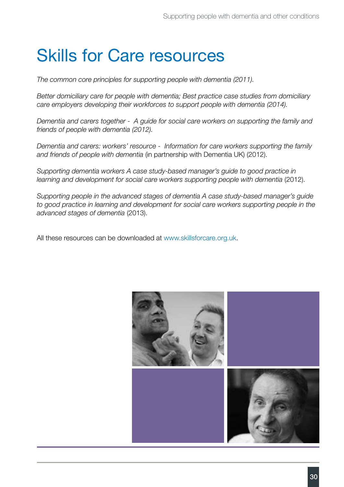# Skills for Care resources

*The common core principles for supporting people with dementia (2011).*

*Better domiciliary care for people with dementia; Best practice case studies from domiciliary care employers developing their workforces to support people with dementia (2014).*

*Dementia and carers together - A guide for social care workers on supporting the family and friends of people with dementia (2012).*

*Dementia and carers: workers' resource - Information for care workers supporting the family and friends of people with dementia* (in partnership with Dementia UK) (2012).

*Supporting dementia workers A case study-based manager's guide to good practice in learning and development for social care workers supporting people with dementia* (2012).

*Supporting people in the advanced stages of dementia A case study-based manager's guide*  to good practice in learning and development for social care workers supporting people in the *advanced stages of dementia* (2013).

All these resources can be downloaded at [www.skillsforcare.org.uk](http://www.skillsforcare.org.uk).